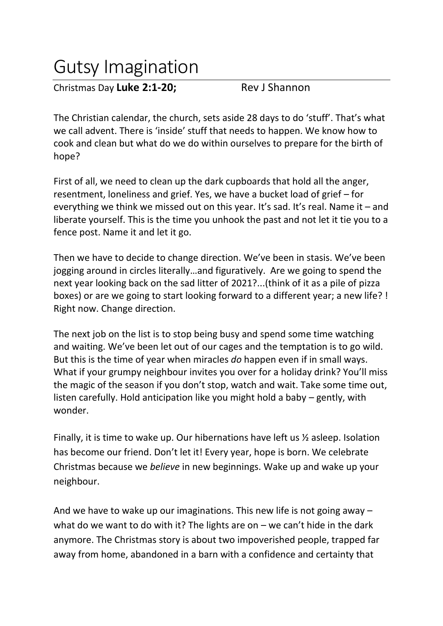## Gutsy Imagination

Christmas Day **Luke 2:1-20;** Rev J Shannon

The Christian calendar, the church, sets aside 28 days to do 'stuff'. That's what we call advent. There is 'inside' stuff that needs to happen. We know how to cook and clean but what do we do within ourselves to prepare for the birth of hope?

First of all, we need to clean up the dark cupboards that hold all the anger, resentment, loneliness and grief. Yes, we have a bucket load of grief – for everything we think we missed out on this year. It's sad. It's real. Name it – and liberate yourself. This is the time you unhook the past and not let it tie you to a fence post. Name it and let it go.

Then we have to decide to change direction. We've been in stasis. We've been jogging around in circles literally…and figuratively. Are we going to spend the next year looking back on the sad litter of 2021?...(think of it as a pile of pizza boxes) or are we going to start looking forward to a different year; a new life? ! Right now. Change direction.

The next job on the list is to stop being busy and spend some time watching and waiting. We've been let out of our cages and the temptation is to go wild. But this is the time of year when miracles *do* happen even if in small ways. What if your grumpy neighbour invites you over for a holiday drink? You'll miss the magic of the season if you don't stop, watch and wait. Take some time out, listen carefully. Hold anticipation like you might hold a baby – gently, with wonder.

Finally, it is time to wake up. Our hibernations have left us ½ asleep. Isolation has become our friend. Don't let it! Every year, hope is born. We celebrate Christmas because we *believe* in new beginnings. Wake up and wake up your neighbour.

And we have to wake up our imaginations. This new life is not going away – what do we want to do with it? The lights are on  $-$  we can't hide in the dark anymore. The Christmas story is about two impoverished people, trapped far away from home, abandoned in a barn with a confidence and certainty that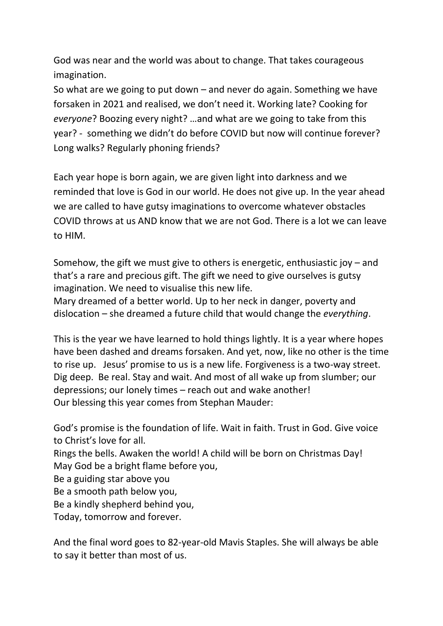God was near and the world was about to change. That takes courageous imagination.

So what are we going to put down – and never do again. Something we have forsaken in 2021 and realised, we don't need it. Working late? Cooking for *everyone*? Boozing every night? …and what are we going to take from this year? - something we didn't do before COVID but now will continue forever? Long walks? Regularly phoning friends?

Each year hope is born again, we are given light into darkness and we reminded that love is God in our world. He does not give up. In the year ahead we are called to have gutsy imaginations to overcome whatever obstacles COVID throws at us AND know that we are not God. There is a lot we can leave to HIM.

Somehow, the gift we must give to others is energetic, enthusiastic joy – and that's a rare and precious gift. The gift we need to give ourselves is gutsy imagination. We need to visualise this new life.

Mary dreamed of a better world. Up to her neck in danger, poverty and dislocation – she dreamed a future child that would change the *everything*.

This is the year we have learned to hold things lightly. It is a year where hopes have been dashed and dreams forsaken. And yet, now, like no other is the time to rise up. Jesus' promise to us is a new life. Forgiveness is a two-way street. Dig deep. Be real. Stay and wait. And most of all wake up from slumber; our depressions; our lonely times – reach out and wake another! Our blessing this year comes from Stephan Mauder:

God's promise is the foundation of life. Wait in faith. Trust in God. Give voice to Christ's love for all. Rings the bells. Awaken the world! A child will be born on Christmas Day! May God be a bright flame before you, Be a guiding star above you Be a smooth path below you, Be a kindly shepherd behind you, Today, tomorrow and forever.

And the final word goes to 82-year-old Mavis Staples. She will always be able to say it better than most of us.